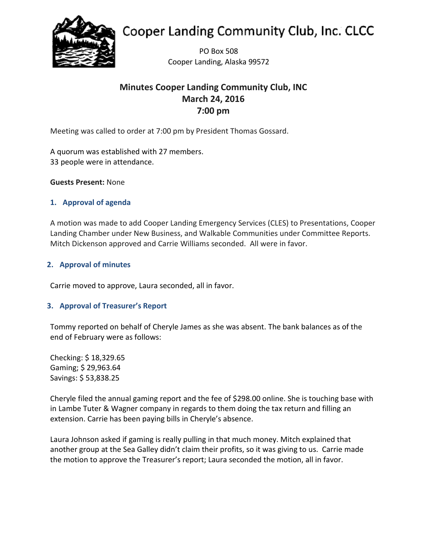

# **Cooper Landing Community Club, Inc. CLCC**

PO Box 508 Cooper Landing, Alaska 99572

# **Minutes Cooper Landing Community Club, INC March 24, 2016 7:00 pm**

Meeting was called to order at 7:00 pm by President Thomas Gossard.

A quorum was established with 27 members. 33 people were in attendance.

**Guests Present:** None

# **1. Approval of agenda**

A motion was made to add Cooper Landing Emergency Services (CLES) to Presentations, Cooper Landing Chamber under New Business, and Walkable Communities under Committee Reports. Mitch Dickenson approved and Carrie Williams seconded. All were in favor.

# **2. Approval of minutes**

Carrie moved to approve, Laura seconded, all in favor.

# **3. Approval of Treasurer's Report**

Tommy reported on behalf of Cheryle James as she was absent. The bank balances as of the end of February were as follows:

Checking: \$ 18,329.65 Gaming; \$ 29,963.64 Savings: \$ 53,838.25

Cheryle filed the annual gaming report and the fee of \$298.00 online. She is touching base with in Lambe Tuter & Wagner company in regards to them doing the tax return and filling an extension. Carrie has been paying bills in Cheryle's absence.

Laura Johnson asked if gaming is really pulling in that much money. Mitch explained that another group at the Sea Galley didn't claim their profits, so it was giving to us. Carrie made the motion to approve the Treasurer's report; Laura seconded the motion, all in favor.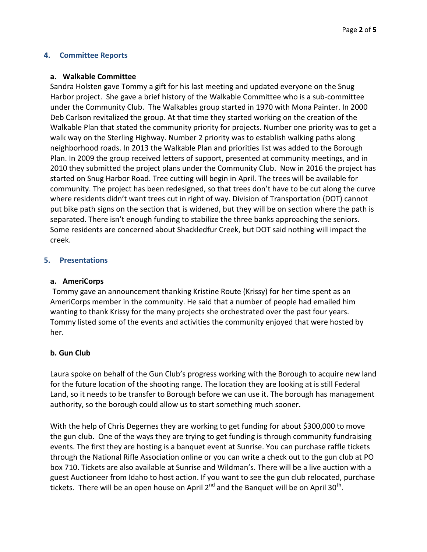#### **4. Committee Reports**

#### **a. Walkable Committee**

Sandra Holsten gave Tommy a gift for his last meeting and updated everyone on the Snug Harbor project. She gave a brief history of the Walkable Committee who is a sub-committee under the Community Club. The Walkables group started in 1970 with Mona Painter. In 2000 Deb Carlson revitalized the group. At that time they started working on the creation of the Walkable Plan that stated the community priority for projects. Number one priority was to get a walk way on the Sterling Highway. Number 2 priority was to establish walking paths along neighborhood roads. In 2013 the Walkable Plan and priorities list was added to the Borough Plan. In 2009 the group received letters of support, presented at community meetings, and in 2010 they submitted the project plans under the Community Club. Now in 2016 the project has started on Snug Harbor Road. Tree cutting will begin in April. The trees will be available for community. The project has been redesigned, so that trees don't have to be cut along the curve where residents didn't want trees cut in right of way. Division of Transportation (DOT) cannot put bike path signs on the section that is widened, but they will be on section where the path is separated. There isn't enough funding to stabilize the three banks approaching the seniors. Some residents are concerned about Shackledfur Creek, but DOT said nothing will impact the creek.

# **5. Presentations**

#### **a. AmeriCorps**

Tommy gave an announcement thanking Kristine Route (Krissy) for her time spent as an AmeriCorps member in the community. He said that a number of people had emailed him wanting to thank Krissy for the many projects she orchestrated over the past four years. Tommy listed some of the events and activities the community enjoyed that were hosted by her.

#### **b. Gun Club**

Laura spoke on behalf of the Gun Club's progress working with the Borough to acquire new land for the future location of the shooting range. The location they are looking at is still Federal Land, so it needs to be transfer to Borough before we can use it. The borough has management authority, so the borough could allow us to start something much sooner.

With the help of Chris Degernes they are working to get funding for about \$300,000 to move the gun club. One of the ways they are trying to get funding is through community fundraising events. The first they are hosting is a banquet event at Sunrise. You can purchase raffle tickets through the National Rifle Association online or you can write a check out to the gun club at PO box 710. Tickets are also available at Sunrise and Wildman's. There will be a live auction with a guest Auctioneer from Idaho to host action. If you want to see the gun club relocated, purchase tickets. There will be an open house on April  $2^{nd}$  and the Banquet will be on April  $30^{th}$ .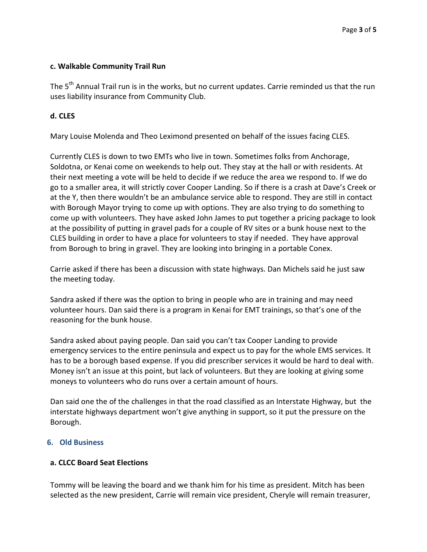# **c. Walkable Community Trail Run**

The 5<sup>th</sup> Annual Trail run is in the works, but no current updates. Carrie reminded us that the run uses liability insurance from Community Club.

# **d. CLES**

Mary Louise Molenda and Theo Leximond presented on behalf of the issues facing CLES.

Currently CLES is down to two EMTs who live in town. Sometimes folks from Anchorage, Soldotna, or Kenai come on weekends to help out. They stay at the hall or with residents. At their next meeting a vote will be held to decide if we reduce the area we respond to. If we do go to a smaller area, it will strictly cover Cooper Landing. So if there is a crash at Dave's Creek or at the Y, then there wouldn't be an ambulance service able to respond. They are still in contact with Borough Mayor trying to come up with options. They are also trying to do something to come up with volunteers. They have asked John James to put together a pricing package to look at the possibility of putting in gravel pads for a couple of RV sites or a bunk house next to the CLES building in order to have a place for volunteers to stay if needed. They have approval from Borough to bring in gravel. They are looking into bringing in a portable Conex.

Carrie asked if there has been a discussion with state highways. Dan Michels said he just saw the meeting today.

Sandra asked if there was the option to bring in people who are in training and may need volunteer hours. Dan said there is a program in Kenai for EMT trainings, so that's one of the reasoning for the bunk house.

Sandra asked about paying people. Dan said you can't tax Cooper Landing to provide emergency services to the entire peninsula and expect us to pay for the whole EMS services. It has to be a borough based expense. If you did prescriber services it would be hard to deal with. Money isn't an issue at this point, but lack of volunteers. But they are looking at giving some moneys to volunteers who do runs over a certain amount of hours.

Dan said one the of the challenges in that the road classified as an Interstate Highway, but the interstate highways department won't give anything in support, so it put the pressure on the Borough.

#### **6. Old Business**

#### **a. CLCC Board Seat Elections**

Tommy will be leaving the board and we thank him for his time as president. Mitch has been selected as the new president, Carrie will remain vice president, Cheryle will remain treasurer,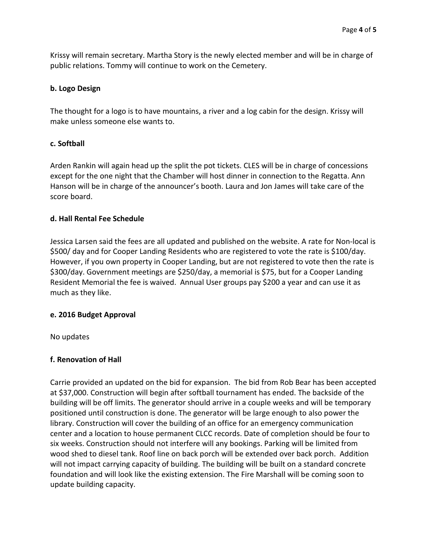Krissy will remain secretary. Martha Story is the newly elected member and will be in charge of public relations. Tommy will continue to work on the Cemetery.

#### **b. Logo Design**

The thought for a logo is to have mountains, a river and a log cabin for the design. Krissy will make unless someone else wants to.

#### **c. Softball**

Arden Rankin will again head up the split the pot tickets. CLES will be in charge of concessions except for the one night that the Chamber will host dinner in connection to the Regatta. Ann Hanson will be in charge of the announcer's booth. Laura and Jon James will take care of the score board.

#### **d. Hall Rental Fee Schedule**

Jessica Larsen said the fees are all updated and published on the website. A rate for Non-local is \$500/ day and for Cooper Landing Residents who are registered to vote the rate is \$100/day. However, if you own property in Cooper Landing, but are not registered to vote then the rate is \$300/day. Government meetings are \$250/day, a memorial is \$75, but for a Cooper Landing Resident Memorial the fee is waived. Annual User groups pay \$200 a year and can use it as much as they like.

#### **e. 2016 Budget Approval**

No updates

#### **f. Renovation of Hall**

Carrie provided an updated on the bid for expansion. The bid from Rob Bear has been accepted at \$37,000. Construction will begin after softball tournament has ended. The backside of the building will be off limits. The generator should arrive in a couple weeks and will be temporary positioned until construction is done. The generator will be large enough to also power the library. Construction will cover the building of an office for an emergency communication center and a location to house permanent CLCC records. Date of completion should be four to six weeks. Construction should not interfere will any bookings. Parking will be limited from wood shed to diesel tank. Roof line on back porch will be extended over back porch. Addition will not impact carrying capacity of building. The building will be built on a standard concrete foundation and will look like the existing extension. The Fire Marshall will be coming soon to update building capacity.